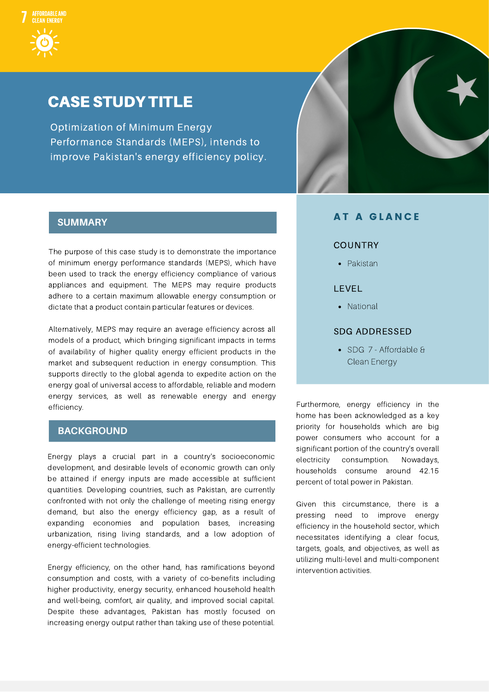### CASE STUDY TITLE

Optimization of Minimum Energy Performance Standards (MEPS), intends to improve Pakistan's energy efficiency policy.



The purpose of this case study is to demonstrate the importance of minimum energy performance standards (MEPS), which have been used to track the energy efficiency compliance of various appliances and equipment. The MEPS may require products adhere to a certain maximum allowable energy consumption or dictate that a product contain particular features or devices.

Alternatively, MEPS may require an average efficiency across all models of a product, which bringing significant impacts in terms of availability of higher quality energy efficient products in the market and subsequent reduction in energy consumption. This supports directly to the global agenda to expedite action on the energy goal of universal access to affordable, reliable and modern energy services, as well as renewable energy and energy efficiency.

#### **BACKGROUND**

Energy plays a crucial part in a country's socioeconomic development, and desirable levels of economic growth can only be attained if energy inputs are made accessible at sufficient quantities. Developing countries, such as Pakistan, are currently confronted with not only the challenge of meeting rising energy demand, but also the energy efficiency gap, as a result of expanding economies and population bases, increasing urbanization, rising living standards, and a low adoption of energy-efficient technologies.

Energy efficiency, on the other hand, has ramifications beyond consumption and costs, with a variety of co-benefits including higher productivity, energy security, enhanced household health and well-being, comfort, air quality, and improved social capital. Despite these advantages, Pakistan has mostly focused on increasing energy output rather than taking use of these potential.



#### **AT A GLANCE**

#### COUNTRY

• Pakistan

#### LEVEL

• National

#### SDG ADDRESSED

SDG 7 - Affordable & Clean Energy

Furthermore, energy efficiency in the home has been acknowledged as a key priority for households which are big power consumers who account for a significant portion of the country's overall electricity consumption. Nowadays, households consume around 42.15 percent of total power in Pakistan.

Given this circumstance, there is a pressing need to improve energy efficiency in the household sector, which necessitates identifying a clear focus, targets, goals, and objectives, as well as utilizing multi-level and multi-component intervention activities.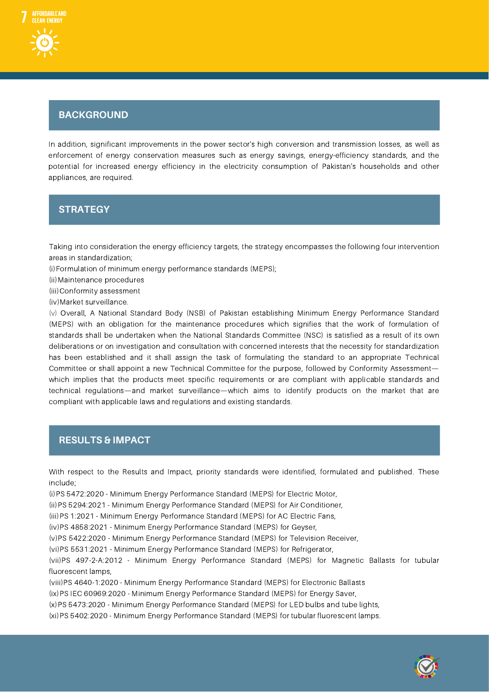# $\overline{B}$ **BACKGROUND**

In addition, significant improvements in the power sector's high conversion and transmission losses, as well as enforcement of energy conservation measures such as energy savings, energy-efficiency standards, and the potential for increased energy efficiency in the electricity consumption of Pakistan's households and other appliances, are required.

### S**ST**t **R**r **AT**a**EG**t **<sup>Y</sup>**egy

Taking into consideration the energy efficiency targets, the strategy encompasses the following four intervention areas in standardization;

(i)Formulation of minimum energy performance standards (MEPS);

(ii)Maintenance procedures

(iii)Conformity assessment

(iv)Market surveillance.

(v) Overall, A National Standard Body (NSB) of Pakistan establishing Minimum Energy Performance Standard (MEPS) with an obligation for the maintenance procedures which signifies that the work of formulation of standards shall be undertaken when the National Standards Committee (NSC) is satisfied as a result of its own deliberations or on investigation and consultation with concerned interests that the necessity for standardization has been established and it shall assign the task of formulating the standard to an appropriate Technical Committee or shall appoint a new Technical Committee for the purpose, followed by Conformity Assessment which implies that the products meet specific requirements or are compliant with applicable standards and technical regulations—and market surveillance—which aims to identify products on the market that are compliant with applicable laws and regulations and existing standards.

# $R$ **ESULTS** & **IMPACT**

With respect to the Results and Impact, priority standards were identified, formulated and published. These include;

(i)PS 5472:2020 - Minimum Energy Performance Standard (MEPS) for Electric Motor,

(ii)PS 5294:2021 - Minimum Energy Performance Standard (MEPS) for Air Conditioner,

(iii)PS 1:2021 - Minimum Energy Performance Standard (MEPS) for AC Electric Fans,

(iv)PS 4858:2021 - Minimum Energy Performance Standard (MEPS) for Geyser,

(v)PS 5422:2020 - Minimum Energy Performance Standard (MEPS) for Television Receiver,

(vi)PS 5531:2021 - Minimum Energy Performance Standard (MEPS) for Refrigerator,

(vii)PS 497-2-A:2012 - Minimum Energy Performance Standard (MEPS) for Magnetic Ballasts for tubular fluorescent lamps,

(viii)PS 4640-1:2020 - Minimum Energy Performance Standard (MEPS) for Electronic Ballasts

(ix)PS IEC 60969:2020 - Minimum Energy Performance Standard (MEPS) for Energy Saver,

(x)PS 5473:2020 - Minimum Energy Performance Standard (MEPS) for LED bulbs and tube lights,

(xi)PS 5402:2020 - Minimum Energy Performance Standard (MEPS) for tubular fluorescent lamps.